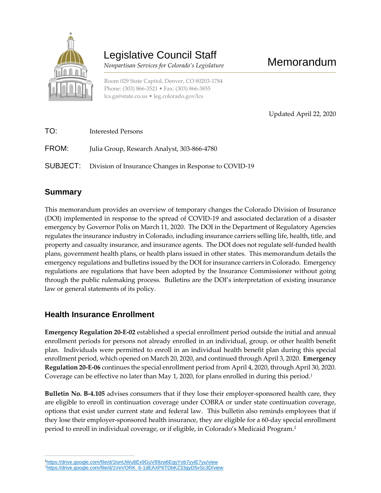

# Legislative Council Staff

 *Nonpartisan Services for Colorado's Legislature*

Room 029 State Capitol, Denver, CO 80203-1784 Phone: (303) 866-3521 • Fax: (303) 866-3855 [lcs.ga@state.co.us](mailto:lcs.ga@state.co.us) • [leg.colorado.gov/lcs](http://leg.colorado.gov/lcs)

Memorandum

Updated April 22, 2020

| TO:   | <b>Interested Persons</b>                                             |
|-------|-----------------------------------------------------------------------|
| FROM: | Julia Group, Research Analyst, 303-866-4780                           |
|       | <b>SUBJECT:</b> Division of Insurance Changes in Response to COVID-19 |

## **Summary**

This memorandum provides an overview of temporary changes the Colorado Division of Insurance (DOI) implemented in response to the spread of COVID-19 and associated declaration of a disaster emergency by Governor Polis on March 11, 2020. The DOI in the Department of Regulatory Agencies regulates the insurance industry in Colorado, including insurance carriers selling life, health, title, and property and casualty insurance, and insurance agents. The DOI does not regulate self-funded health plans, government health plans, or health plans issued in other states. This memorandum details the emergency regulations and bulletins issued by the DOI for insurance carriers in Colorado. Emergency regulations are regulations that have been adopted by the Insurance Commissioner without going through the public rulemaking process. Bulletins are the DOI's interpretation of existing insurance law or general statements of its policy.

## **Health Insurance Enrollment**

**Emergency Regulation 20-E-02** established a special enrollment period outside the initial and annual enrollment periods for persons not already enrolled in an individual, group, or other health benefit plan. Individuals were permitted to enroll in an individual health benefit plan during this special enrollment period, which opened on March 20, 2020, and continued through April 3, 2020. **Emergency Regulation 20-E-06** continues the special enrollment period from April 4, 2020, through April 30, 2020. Coverage can be effective no later than May 1, 2020, for plans enrolled in during this period.<sup>1</sup>

**Bulletin No. B-4.105** advises consumers that if they lose their employer-sponsored health care, they are eligible to enroll in continuation coverage under COBRA or under state continuation coverage, options that exist under current state and federal law. This bulletin also reminds employees that if they lose their employer-sponsored health insurance, they are eligible for a 60-day special enrollment period to enroll in individual coverage, or if eligible, in Colorado's Medicaid Program.<sup>2</sup>

 $\overline{a}$ <sup>1</sup><https://drive.google.com/file/d/1tonUWu8Ex9GuV89zw6EgyYob7yviE7yu/view>

<sup>&</sup>lt;sup>2</sup>[https://drive.google.com/file/d/1VeVORK\\_6-1dEAXP6TDbKZ33gyD5vSc3D/view](https://drive.google.com/file/d/1VeVORK_6-1dEAXP6TDbKZ33gyD5vSc3D/view)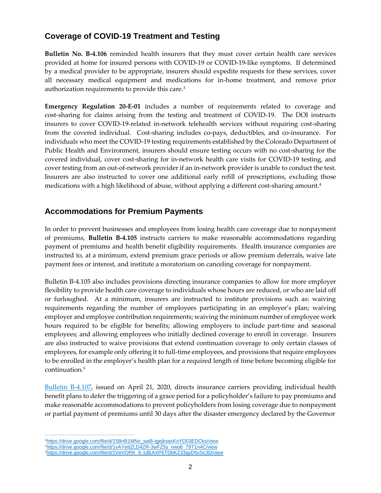### **Coverage of COVID-19 Treatment and Testing**

**Bulletin No. B-4.106** reminded health insurers that they must cover certain health care services provided at home for insured persons with COVID-19 or COVID-19-like symptoms. If determined by a medical provider to be appropriate, insurers should expedite requests for these services, cover all necessary medical equipment and medications for in-home treatment, and remove prior authorization requirements to provide this care.<sup>3</sup>

**Emergency Regulation 20-E-01** includes a number of requirements related to coverage and cost-sharing for claims arising from the testing and treatment of COVID-19. The DOI instructs insurers to cover COVID-19-related in-network telehealth services without requiring cost-sharing from the covered individual. Cost-sharing includes co-pays, deductibles, and co-insurance. For individuals who meet the COVID-19 testing requirements established by the Colorado Department of Public Health and Environment, insurers should ensure testing occurs with no cost-sharing for the covered individual, cover cost-sharing for in-network health care visits for COVID-19 testing, and cover testing from an out-of-network provider if an in-network provider is unable to conduct the test. Insurers are also instructed to cover one additional early refill of prescriptions, excluding those medications with a high likelihood of abuse, without applying a different cost-sharing amount. $^4$ 

#### **Accommodations for Premium Payments**

In order to prevent businesses and employees from losing health care coverage due to nonpayment of premiums, **Bulletin B-4.105** instructs carriers to make reasonable accommodations regarding payment of premiums and health benefit eligibility requirements. Health insurance companies are instructed to, at a minimum, extend premium grace periods or allow premium deferrals, waive late payment fees or interest, and institute a moratorium on canceling coverage for nonpayment.

Bulletin B-4.105 also includes provisions directing insurance companies to allow for more employer flexibility to provide health care coverage to individuals whose hours are reduced, or who are laid off or furloughed. At a minimum, insurers are instructed to institute provisions such as: waiving requirements regarding the number of employees participating in an employer's plan; waiving employer and employee contribution requirements; waiving the minimum number of employee work hours required to be eligible for benefits; allowing employers to include part-time and seasonal employees; and allowing employees who initially declined coverage to enroll in coverage. Insurers are also instructed to waive provisions that extend continuation coverage to only certain classes of employees, for example only offering it to full-time employees, and provisions that require employees to be enrolled in the employer's health plan for a required length of time before becoming eligible for continuation.<sup>5</sup>

[Bulletin B-4.107,](https://drive.google.com/file/d/1s62JiPWWUXLQWYDPATS2t2Iw_oy2PfJu/view) issued on April 21, 2020, directs insurance carriers providing individual health benefit plans to defer the triggering of a grace period for a policyholder's failure to pay premiums and make reasonable accommodations to prevent policyholders from losing coverage due to nonpayment or partial payment of premiums until 30 days after the disaster emergency declared by the Governor

 $\overline{a}$ <sup>3</sup>[https://drive.google.com/file/d/15BnB1MNv\\_waB-tgejksasKoYD03EDCks/view](https://drive.google.com/file/d/15BnB1MNv_waB-tgejksasKoYD03EDCks/view) <sup>4</sup>[https://drive.google.com/file/d/1vAYettZLD4ZR-3wFZ5s\\_nwo6\\_79T1n4C/view](https://drive.google.com/file/d/1vAYettZLD4ZR-3wFZ5s_nwo6_79T1n4C/view) <sup>5</sup>[https://drive.google.com/file/d/1VeVORK\\_6-1dEAXP6TDbKZ33gyD5vSc3D/view](https://drive.google.com/file/d/1VeVORK_6-1dEAXP6TDbKZ33gyD5vSc3D/view)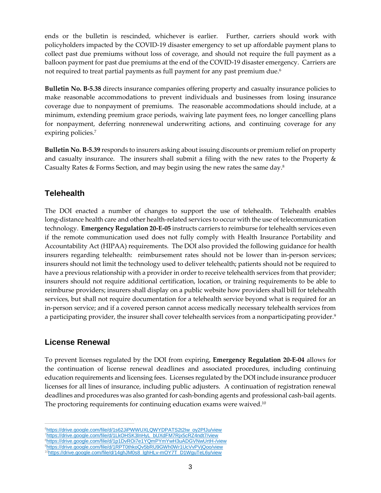ends or the bulletin is rescinded, whichever is earlier. Further, carriers should work with policyholders impacted by the COVID-19 disaster emergency to set up affordable payment plans to collect past due premiums without loss of coverage, and should not require the full payment as a balloon payment for past due premiums at the end of the COVID-19 disaster emergency. Carriers are not required to treat partial payments as full payment for any past premium due.<sup>6</sup>

**Bulletin No. B-5.38** directs insurance companies offering property and casualty insurance policies to make reasonable accommodations to prevent individuals and businesses from losing insurance coverage due to nonpayment of premiums. The reasonable accommodations should include, at a minimum, extending premium grace periods, waiving late payment fees, no longer cancelling plans for nonpayment, deferring nonrenewal underwriting actions, and continuing coverage for any expiring policies.<sup>7</sup>

**Bulletin No. B-5.39** responds to insurers asking about issuing discounts or premium relief on property and casualty insurance. The insurers shall submit a filing with the new rates to the Property & Casualty Rates & Forms Section, and may begin using the new rates the same day.<sup>8</sup>

#### **Telehealth**

The DOI enacted a number of changes to support the use of telehealth. Telehealth enables long-distance health care and other health-related services to occur with the use of telecommunication technology. **Emergency Regulation 20-E-05** instructs carriers to reimburse for telehealth services even if the remote communication used does not fully comply with Health Insurance Portability and Accountability Act (HIPAA) requirements. The DOI also provided the following guidance for health insurers regarding telehealth: reimbursement rates should not be lower than in-person services; insurers should not limit the technology used to deliver telehealth; patients should not be required to have a previous relationship with a provider in order to receive telehealth services from that provider; insurers should not require additional certification, location, or training requirements to be able to reimburse providers; insurers shall display on a public website how providers shall bill for telehealth services, but shall not require documentation for a telehealth service beyond what is required for an in-person service; and if a covered person cannot access medically necessary telehealth services from a participating provider, the insurer shall cover telehealth services from a nonparticipating provider.<sup>9</sup>

#### **License Renewal**

To prevent licenses regulated by the DOI from expiring, **Emergency Regulation 20-E-04** allows for the continuation of license renewal deadlines and associated procedures, including continuing education requirements and licensing fees. Licenses regulated by the DOI include insurance producer licenses for all lines of insurance, including public adjusters. A continuation of registration renewal deadlines and procedures was also granted for cash-bonding agents and professional cash-bail agents. The proctoring requirements for continuing education exams were waived.<sup>10</sup>

 $\overline{a}$ <sup>6</sup>[https://drive.google.com/file/d/1s62JiPWWUXLQWYDPATS2t2Iw\\_oy2PfJu/view](https://drive.google.com/file/d/1s62JiPWWUXLQWYDPATS2t2Iw_oy2PfJu/view) <sup>7</sup>[https://drive.google.com/file/d/1LkOHSK3lnHyL\\_bUXdFM7Rjx5cRZ4ndt7/view](https://drive.google.com/file/d/1LkOHSK3lnHyL_bUXdFM7Rjx5cRZ4ndt7/view) <sup>8</sup><https://drive.google.com/file/d/1p1DvROi7e1YQmPYmYwH3uADGVNwUrtH-/view> <sup>9</sup><https://drive.google.com/file/d/1RPT0thkoQv5bRU9GWh0Wr1UcVvPVjQoo/view>

<sup>&</sup>lt;sup>10</sup>[https://drive.google.com/file/d/14ghJM0s8\\_lghHLv-mOY7T\\_D1WguTeL6y/view](https://drive.google.com/file/d/14ghJM0s8_lghHLv-mOY7T_D1WguTeL6y/view)